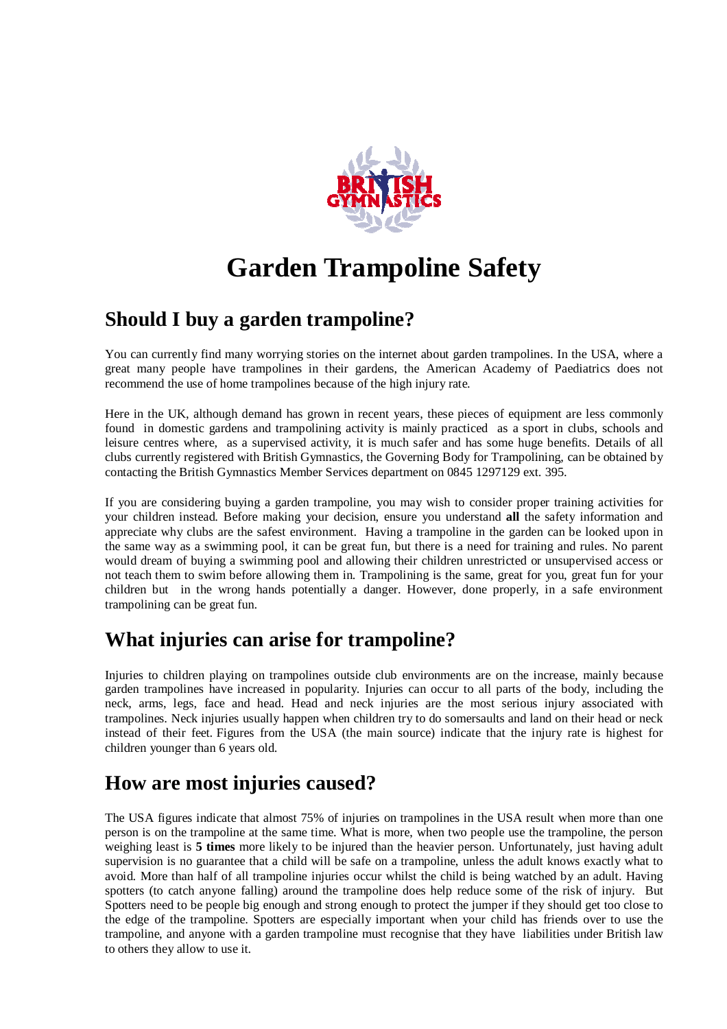

# **Garden Trampoline Safety**

### **Should I buy a garden trampoline?**

You can currently find many worrying stories on the internet about garden trampolines. In the USA, where a great many people have trampolines in their gardens, the American Academy of Paediatrics does not recommend the use of home trampolines because of the high injury rate.

Here in the UK, although demand has grown in recent years, these pieces of equipment are less commonly found in domestic gardens and trampolining activity is mainly practiced as a sport in clubs, schools and leisure centres where, as a supervised activity, it is much safer and has some huge benefits. Details of all clubs currently registered with British Gymnastics, the Governing Body for Trampolining, can be obtained by contacting the British Gymnastics Member Services department on 0845 1297129 ext. 395.

If you are considering buying a garden trampoline, you may wish to consider proper training activities for your children instead. Before making your decision, ensure you understand **all** the safety information and appreciate why clubs are the safest environment. Having a trampoline in the garden can be looked upon in the same way as a swimming pool, it can be great fun, but there is a need for training and rules. No parent would dream of buying a swimming pool and allowing their children unrestricted or unsupervised access or not teach them to swim before allowing them in. Trampolining is the same, great for you, great fun for your children but in the wrong hands potentially a danger. However, done properly, in a safe environment trampolining can be great fun.

## **What injuries can arise for trampoline?**

Injuries to children playing on trampolines outside club environments are on the increase, mainly because garden trampolines have increased in popularity. Injuries can occur to all parts of the body, including the neck, arms, legs, face and head. Head and neck injuries are the most serious injury associated with trampolines. Neck injuries usually happen when children try to do somersaults and land on their head or neck instead of their feet. Figures from the USA (the main source) indicate that the injury rate is highest for children younger than 6 years old.

### **How are most injuries caused?**

The USA figures indicate that almost 75% of injuries on trampolines in the USA result when more than one person is on the trampoline at the same time. What is more, when two people use the trampoline, the person weighing least is **5 times** more likely to be injured than the heavier person. Unfortunately, just having adult supervision is no guarantee that a child will be safe on a trampoline, unless the adult knows exactly what to avoid. More than half of all trampoline injuries occur whilst the child is being watched by an adult. Having spotters (to catch anyone falling) around the trampoline does help reduce some of the risk of injury. But Spotters need to be people big enough and strong enough to protect the jumper if they should get too close to the edge of the trampoline. Spotters are especially important when your child has friends over to use the trampoline, and anyone with a garden trampoline must recognise that they have liabilities under British law to others they allow to use it.